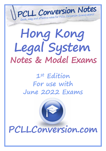

# **Hong Kong Legal System Notes & Model Exams**

**1st Edition For use with June 2022 Exams**

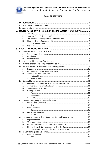

## **TABLE OF CONTENTS**

| B. |           |                  |                                                           |  |
|----|-----------|------------------|-----------------------------------------------------------|--|
|    |           |                  | 2. DEVELOPMENT OF THE HONG KONG LEGAL SYSTEM (1842-1997)6 |  |
|    |           |                  |                                                           |  |
|    | i.        |                  |                                                           |  |
|    | ii.       |                  |                                                           |  |
|    | iii.      |                  |                                                           |  |
|    |           | 1)               |                                                           |  |
|    | iv.       |                  |                                                           |  |
|    |           |                  |                                                           |  |
|    |           |                  |                                                           |  |
|    | i.        |                  |                                                           |  |
|    | ii.       |                  |                                                           |  |
|    | iii.      |                  |                                                           |  |
| В. |           |                  |                                                           |  |
| C. |           |                  |                                                           |  |
| D. |           |                  |                                                           |  |
|    | i.        |                  |                                                           |  |
|    | ii.       |                  |                                                           |  |
|    | iii.      |                  |                                                           |  |
|    |           | 1)               |                                                           |  |
|    |           | (2)              |                                                           |  |
| F. |           |                  |                                                           |  |
|    | i.        |                  |                                                           |  |
|    | ii.       |                  |                                                           |  |
|    | iii.      |                  |                                                           |  |
|    | iv.       |                  |                                                           |  |
|    |           | 1)               |                                                           |  |
|    |           | 2)               |                                                           |  |
|    |           | 3)               |                                                           |  |
| F. |           |                  |                                                           |  |
|    | i.        |                  |                                                           |  |
|    |           | 1)               |                                                           |  |
|    | ii.       |                  |                                                           |  |
|    |           | 1)               |                                                           |  |
|    | iii.      | $\left( \right)$ |                                                           |  |
|    |           |                  |                                                           |  |
|    |           |                  |                                                           |  |
|    | İ.<br>ii. |                  |                                                           |  |
|    | iii.      |                  |                                                           |  |
|    | iv.       |                  |                                                           |  |
|    |           | 1)               |                                                           |  |
|    |           |                  |                                                           |  |
|    | İ.        |                  |                                                           |  |
|    |           | 1)               |                                                           |  |
|    |           |                  |                                                           |  |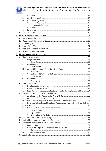## Detailed, updated and effective notes for PCLL Conversion Examinations! Hong Kong Legal System Notes & Model Exams

|    |             | 2)                                                                             |  |
|----|-------------|--------------------------------------------------------------------------------|--|
|    | ii.<br>iii. |                                                                                |  |
|    |             |                                                                                |  |
|    | iv.         | 1)                                                                             |  |
|    |             | 2)                                                                             |  |
|    | v.          |                                                                                |  |
| L. |             |                                                                                |  |
|    |             |                                                                                |  |
|    |             |                                                                                |  |
|    |             |                                                                                |  |
| B. |             |                                                                                |  |
| C. |             |                                                                                |  |
| D. |             |                                                                                |  |
| Е. |             |                                                                                |  |
| F. |             |                                                                                |  |
|    |             |                                                                                |  |
|    |             |                                                                                |  |
|    |             |                                                                                |  |
|    | i.          | 1)                                                                             |  |
|    | ii.         |                                                                                |  |
|    |             | 1)                                                                             |  |
|    | iii.        |                                                                                |  |
|    |             | 1)                                                                             |  |
|    | iv.         |                                                                                |  |
|    |             | 1)                                                                             |  |
|    | v.          |                                                                                |  |
|    |             | 1)                                                                             |  |
| В. |             |                                                                                |  |
|    | L.          |                                                                                |  |
|    | ii.         |                                                                                |  |
|    | iii.        | Protecting the High degree of autonomy and enforcing human rights 24           |  |
| C. |             |                                                                                |  |
|    | i.          |                                                                                |  |
|    | ii.         |                                                                                |  |
|    | iii.        | NPCSC's ultimate power of Interpretation - General Restriction 25              |  |
|    | İV.         | How wide is the effect of the phrase "judgements previously rendered shall not |  |
|    |             |                                                                                |  |
|    | v.          |                                                                                |  |
|    |             | 1)                                                                             |  |
|    |             | 2)                                                                             |  |
|    |             | 3)                                                                             |  |
| D. |             |                                                                                |  |
| Е. |             |                                                                                |  |
| F. |             |                                                                                |  |
|    | i.          |                                                                                |  |
|    | ii.         |                                                                                |  |
|    |             | 1)                                                                             |  |
|    | iii.        |                                                                                |  |
| G. |             |                                                                                |  |
|    |             |                                                                                |  |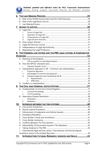Detailed, updated and effective notes for PCLL Conversion Examinations! Hong Kong Legal System Notes & Model Exams

|            | В. |                                                                        |  |  |
|------------|----|------------------------------------------------------------------------|--|--|
|            | C. |                                                                        |  |  |
|            |    |                                                                        |  |  |
|            |    |                                                                        |  |  |
|            |    | i.                                                                     |  |  |
|            |    | ii.                                                                    |  |  |
|            |    | iii.                                                                   |  |  |
|            |    | iv.                                                                    |  |  |
|            | В. |                                                                        |  |  |
|            | C. |                                                                        |  |  |
|            | D. |                                                                        |  |  |
|            | Е. |                                                                        |  |  |
|            |    | 8. THE COMMON LAW SYSTEM AND THE PRC LEGAL SYSTEM: A COMPARATIVE       |  |  |
|            |    |                                                                        |  |  |
|            |    |                                                                        |  |  |
|            |    | i.                                                                     |  |  |
|            |    |                                                                        |  |  |
|            |    | i.                                                                     |  |  |
|            | C. | Interpretation approach in HK - Common Law interpretation34            |  |  |
|            |    | i.                                                                     |  |  |
|            |    | ii.                                                                    |  |  |
|            |    | iii.                                                                   |  |  |
|            |    | 1)                                                                     |  |  |
|            |    | 2)                                                                     |  |  |
|            |    |                                                                        |  |  |
|            |    |                                                                        |  |  |
|            |    |                                                                        |  |  |
|            |    | i.                                                                     |  |  |
|            |    | ii.                                                                    |  |  |
|            | В. |                                                                        |  |  |
|            |    | Ĺ.                                                                     |  |  |
|            |    | ii.                                                                    |  |  |
| <u>10.</u> |    |                                                                        |  |  |
|            | A. |                                                                        |  |  |
|            | В. |                                                                        |  |  |
|            | C. |                                                                        |  |  |
|            | D. |                                                                        |  |  |
|            | Е. |                                                                        |  |  |
|            | F. |                                                                        |  |  |
|            | G. |                                                                        |  |  |
|            | Н. |                                                                        |  |  |
|            | I. |                                                                        |  |  |
|            | J. | International legal services centre / international commercial dispute |  |  |
|            |    |                                                                        |  |  |
|            |    |                                                                        |  |  |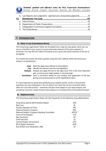*Detailed, updated and effective notes for PCLL Conversion Examinations! H o n g K o n g L e g a l S y s t e m N o t e s & M o d e l E x a m s* 



|  | A. Law Reports and Judgments- reported and unreported judgments43 |  |  |  |
|--|-------------------------------------------------------------------|--|--|--|
|--|-------------------------------------------------------------------|--|--|--|

# **1. INTRODUCTION**

### **A. HOW TO USE CONVERSION NOTES**

The Hong Kong Legal System Notes are formatted into a step-by-step guide, which you can use as a checklist in your exams to ensure that every element of the exam question is answered. You may find the Table of Contents to be a quick and useful overview of the law to be applied.

You should also answer the exam question using the ILAC method, which will ensure your answer is comprehensive.

| Issue | State the legal issue relevant to the problem                                            |
|-------|------------------------------------------------------------------------------------------|
| Law   | Identify the relevant case law and legislation                                           |
|       | <b>Analysis</b> Analyse and apply the law to the legal issue. This is the most important |
|       | part, so ensure your legal analysis is very thorough.                                    |
|       | <b>Conclusion</b> Form a conclusion based on your analysis and application of the law,   |
|       | giving some practical advice to the hypothetical client.                                 |
|       |                                                                                          |

It is very important to spend time perfecting your analysis section, as this is the part that examiners are most interested in. Do not worry if you reach the correct conclusion (there often isn't one clear answer) – examiners will give more weight to your legal analysis, and sometimes may even reward answers that propose an innovative and unconventional answer!

## **B. ABBREVIATIONS**

The Hong Kong Legal System Notes will refer frequently to the following using abbreviations.

| Hong Kong Special Administrative Region       | <b>SAR</b>   |
|-----------------------------------------------|--------------|
| <b>Basic Law</b>                              | <b>BL</b>    |
| People's Republic of China                    | <b>PRC</b>   |
| National People's Congress                    | NPC          |
| National People's Congress Standing Committee | <b>NPCSC</b> |
| Court of Final Appeal                         | <b>CFA</b>   |
| New Territories                               | NT           |
| <b>Chief Executive</b>                        | <b>CE</b>    |
| Central People's Government                   | <b>CPG</b>   |
| <b>Bill of Rights Ordinance</b>               | <b>BOR</b>   |
| Sino-British Joint Declaration 1984           | JD           |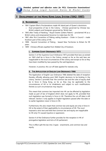

## **2. DEVELOPMENT OF THE HONG KONG LEGAL SYSTEM (1842-1997)**

#### **A. BACKGROUND**

- 1841 Captain Elliot's Proclamations made HK island part of Queen's dominions
	- o Dual prospective of law in the Colony Chinese governed by Chinese law. British subjects and foreigners governed by 'British law'.
- 1843 after Treaty of Nanking Royal Charter (Letters Patent) proclaimed HK as a British colony and empowered Governor to make laws for HK.
- 1861 after first Convention of Peking ceding Kowloon Order in Council made Kowloon part of the colony of HK.
- 1898 Second Convention of Peking leased New Territories to Britain for 99 years.
- 1899 Chinese officials expelled from Walled City of Kowloon.

#### **i. SUPREME COURT ORDINANCE 1873**

Section 5 of the Supreme Court Ordinance 1873 provided that laws as existed on 1843 shall be in force in the Colony, except so far as the said laws are inapplicable to the local circumstances of the colony and except so far as they have been modified by laws passed by the said legislature.

However, in practice, this cut-off date applied for statutes only.

#### **ii. THE APPLICATION OF ENGLISH LAW ORDINANCE 1966**

The Application of English Law Ordinance 1966 deleted the date of reception thereby officially allowing post-1843 English decisions to be binding in the colony. Section 3 provides that 'the common law and the rules of equity shall be in force in Hong Kong, so far as they may be applicable to the circumstances of HK or its inhabitants and subject to such modifications thereto as such circumstances may require.'

This meant that common law imported into HK can be affected by legislation made as part of law of England which does not apply to HK, provided that such legislation was formerly in force in HK. Therefore the cut-off date is still relevant. Section 3 only applies to English legislation passed after the date or to earlier legislation never in force in HK.

Furthermore, this also meant that common law and equity are only in force in HK to the extent of their applicability to circumstances of HK. The court imposed a strict test and held that common law and equity are inapplicable to HK only if it caused injustice or oppression.

Section 4 of the Ordinance further provides for the reception in HK of prerogative legislation and Acts of UK parliament.

This in effect split the law into 2 types - enactments, and common law and equity.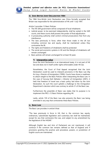

#### **iii. SINO-BRITISH JOINT DECLARATION 1984**

The 1984 Sino-British Joint Declaration saw China formally accepted that Britain was responsible for the administration of HK until 1 July 1997.

Article 3 provides 12 Basic Policies:

- The HK SAR government will be composed of local inhabitants
- Judicial power, to be exercised independently, shall be vested in the SAR courts, and these courts shall possess the power of final adjudication
- A prosecuting authority shall control criminal prosecutions free from any interference
- The laws previously in force, other than those made in the UK but including common law and equity, shall be maintained unless they contravene the BL
- The rights and freedoms of inhabitants shall be protected
- The social and economic systems in HK and the lifestyle of inhabitants will remain unchanged
- Basic policies will remain unchanged for at least 50 years

#### **1) Interpretive value**

Since the Joint Declaration is an international treaty, it is not part of HK law and does not in itself confer rights enforceable under HK law.

Nonetheless, the Court of Final Appeal recognised that the Joint Declaration could be used to interpret provisions in the Basic Law (*Ng Ka Ling v Director of Immigration* (1999)). Courts have shown a readiness to attach weight to the Basic Policies when interpreting the Basic Law. In the case of *Gurung Kesh Bahadur v Director of Immigration* (2001), it held that freedom of travel was a basic policy laid down by the Joint Declaration. As such the court upheld a challenge to the Immigration Department's decision which was contrary to article 31 of the Basic Law.

Furthermore the preamble of Basic Law states that its purpose is to implement the PRC's 12 Basic Policies regarding HK.

Lastly, article 159 of the Basic Law also prevents the Basic Law being amended in any way that contravenes these Basic Policies.

#### **iv. BASIC LAW**

The Basic Law provides in article 8 that:

"The laws previously in force in HK, that is, the common law, equity, ordinances, subordinate legislation and customary law shall be maintained, except for any that contravene this Law, and subject to any amendment by the legislature of the HKSAR."

Although English law and Acts of Parliament are not mentioned, it will continue if the common law remains defined as that of England and if provisions granting the practice and procedure, powers, or jurisdiction of English courts are maintained.